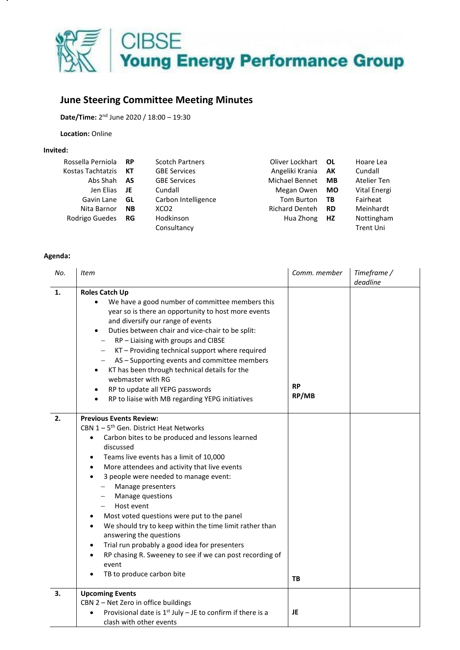

## **June Steering Committee Meeting Minutes**

Date/Time: 2<sup>nd</sup> June 2020 / 18:00 - 19:30

**Location:** Online

## **Invited:**

| Rossella Perniola  | <b>RP</b> | <b>Scotch Partners</b> | Oliver Lockhart OL    |           | Hoare Lea        |
|--------------------|-----------|------------------------|-----------------------|-----------|------------------|
| Kostas Tachtatzis  | <b>KT</b> | <b>GBE Services</b>    | Angeliki Krania       | AK        | Cundall          |
| Abs Shah <b>AS</b> |           | <b>GBE Services</b>    | Michael Bennet        | MВ        | Atelier Ten      |
| Jen Elias          | - JE      | Cundall                | Megan Owen            | MO.       | Vital Energi     |
| Gavin Lane         | GL        | Carbon Intelligence    | Tom Burton            | TB        | Fairheat         |
| Nita Barnor        | <b>NB</b> | XCO <sub>2</sub>       | <b>Richard Denteh</b> | <b>RD</b> | Meinhardt        |
| Rodrigo Guedes     | RG        | Hodkinson              | Hua Zhong             | <b>HZ</b> | Nottingham       |
|                    |           | Consultancy            |                       |           | <b>Trent Uni</b> |

## **Agenda:**

| No.            | <b>Item</b>                                                                                                                                                                                                                                                                                                                                                                                                                                                                                                                                                                                                                                            | Comm. member       | Timeframe /<br>deadline |
|----------------|--------------------------------------------------------------------------------------------------------------------------------------------------------------------------------------------------------------------------------------------------------------------------------------------------------------------------------------------------------------------------------------------------------------------------------------------------------------------------------------------------------------------------------------------------------------------------------------------------------------------------------------------------------|--------------------|-------------------------|
| $\mathbf{1}$ . | <b>Roles Catch Up</b><br>We have a good number of committee members this<br>year so is there an opportunity to host more events<br>and diversify our range of events<br>Duties between chair and vice-chair to be split:<br>RP-Liaising with groups and CIBSE<br>KT-Providing technical support where required<br>$\overline{\phantom{m}}$<br>AS - Supporting events and committee members<br>KT has been through technical details for the<br>webmaster with RG<br>RP to update all YEPG passwords<br>RP to liaise with MB regarding YEPG initiatives                                                                                                 | <b>RP</b><br>RP/MB |                         |
| 2.             | <b>Previous Events Review:</b><br>CBN $1 - 5$ <sup>th</sup> Gen. District Heat Networks<br>Carbon bites to be produced and lessons learned<br>$\bullet$<br>discussed<br>Teams live events has a limit of 10,000<br>More attendees and activity that live events<br>3 people were needed to manage event:<br>Manage presenters<br>Manage questions<br>Host event<br>Most voted questions were put to the panel<br>We should try to keep within the time limit rather than<br>answering the questions<br>Trial run probably a good idea for presenters<br>RP chasing R. Sweeney to see if we can post recording of<br>event<br>TB to produce carbon bite | TB                 |                         |
| 3.             | <b>Upcoming Events</b><br>CBN 2 - Net Zero in office buildings<br>Provisional date is $1^{st}$ July – JE to confirm if there is a<br>clash with other events                                                                                                                                                                                                                                                                                                                                                                                                                                                                                           | JE                 |                         |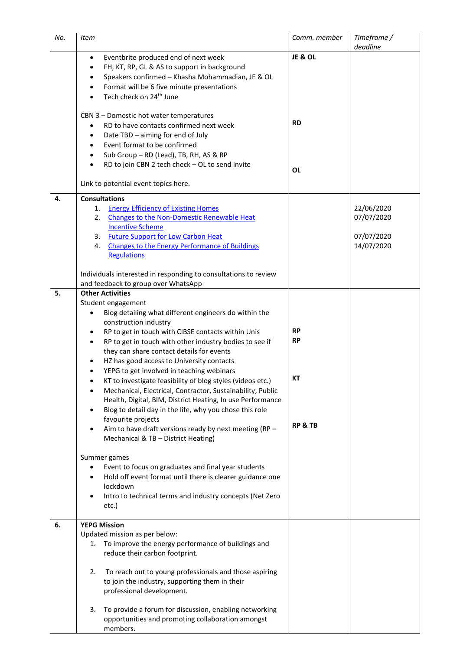| No. | Item                                                                                                                                                                                                                                                                                                                                                                                                                                                                                                                                                                                                                                                                                                                                                                                                                                                                                                                                                                                                                                                             | Comm. member                                       | Timeframe /<br>deadline                              |
|-----|------------------------------------------------------------------------------------------------------------------------------------------------------------------------------------------------------------------------------------------------------------------------------------------------------------------------------------------------------------------------------------------------------------------------------------------------------------------------------------------------------------------------------------------------------------------------------------------------------------------------------------------------------------------------------------------------------------------------------------------------------------------------------------------------------------------------------------------------------------------------------------------------------------------------------------------------------------------------------------------------------------------------------------------------------------------|----------------------------------------------------|------------------------------------------------------|
|     | Eventbrite produced end of next week<br>$\bullet$<br>FH, KT, RP, GL & AS to support in background<br>Speakers confirmed - Khasha Mohammadian, JE & OL<br>Format will be 6 five minute presentations<br>$\bullet$<br>Tech check on 24 <sup>th</sup> June<br>$\bullet$                                                                                                                                                                                                                                                                                                                                                                                                                                                                                                                                                                                                                                                                                                                                                                                             | JE & OL                                            |                                                      |
|     | CBN 3 - Domestic hot water temperatures<br>RD to have contacts confirmed next week<br>$\bullet$<br>Date TBD - aiming for end of July<br>٠<br>Event format to be confirmed<br>$\bullet$<br>Sub Group - RD (Lead), TB, RH, AS & RP<br>RD to join CBN 2 tech check - OL to send invite<br>$\bullet$<br>Link to potential event topics here.                                                                                                                                                                                                                                                                                                                                                                                                                                                                                                                                                                                                                                                                                                                         | <b>RD</b><br><b>OL</b>                             |                                                      |
| 4.  | <b>Consultations</b><br><b>Energy Efficiency of Existing Homes</b><br>1.<br><b>Changes to the Non-Domestic Renewable Heat</b><br>2.<br><b>Incentive Scheme</b><br>3. Future Support for Low Carbon Heat<br><b>Changes to the Energy Performance of Buildings</b><br>4.<br><b>Regulations</b>                                                                                                                                                                                                                                                                                                                                                                                                                                                                                                                                                                                                                                                                                                                                                                     |                                                    | 22/06/2020<br>07/07/2020<br>07/07/2020<br>14/07/2020 |
|     | Individuals interested in responding to consultations to review<br>and feedback to group over WhatsApp                                                                                                                                                                                                                                                                                                                                                                                                                                                                                                                                                                                                                                                                                                                                                                                                                                                                                                                                                           |                                                    |                                                      |
| 5.  | <b>Other Activities</b><br>Student engagement<br>Blog detailing what different engineers do within the<br>٠<br>construction industry<br>RP to get in touch with CIBSE contacts within Unis<br>$\bullet$<br>RP to get in touch with other industry bodies to see if<br>$\bullet$<br>they can share contact details for events<br>HZ has good access to University contacts<br>YEPG to get involved in teaching webinars<br>$\bullet$<br>KT to investigate feasibility of blog styles (videos etc.)<br>٠<br>Mechanical, Electrical, Contractor, Sustainability, Public<br>Health, Digital, BIM, District Heating, In use Performance<br>Blog to detail day in the life, why you chose this role<br>٠<br>favourite projects<br>Aim to have draft versions ready by next meeting (RP -<br>٠<br>Mechanical & TB - District Heating)<br>Summer games<br>Event to focus on graduates and final year students<br>Hold off event format until there is clearer guidance one<br>$\bullet$<br>lockdown<br>Intro to technical terms and industry concepts (Net Zero<br>etc.) | <b>RP</b><br><b>RP</b><br>КT<br><b>RP &amp; TB</b> |                                                      |
| 6.  | <b>YEPG Mission</b><br>Updated mission as per below:<br>To improve the energy performance of buildings and<br>1.<br>reduce their carbon footprint.<br>2.<br>To reach out to young professionals and those aspiring<br>to join the industry, supporting them in their<br>professional development.<br>To provide a forum for discussion, enabling networking<br>3.<br>opportunities and promoting collaboration amongst<br>members.                                                                                                                                                                                                                                                                                                                                                                                                                                                                                                                                                                                                                               |                                                    |                                                      |